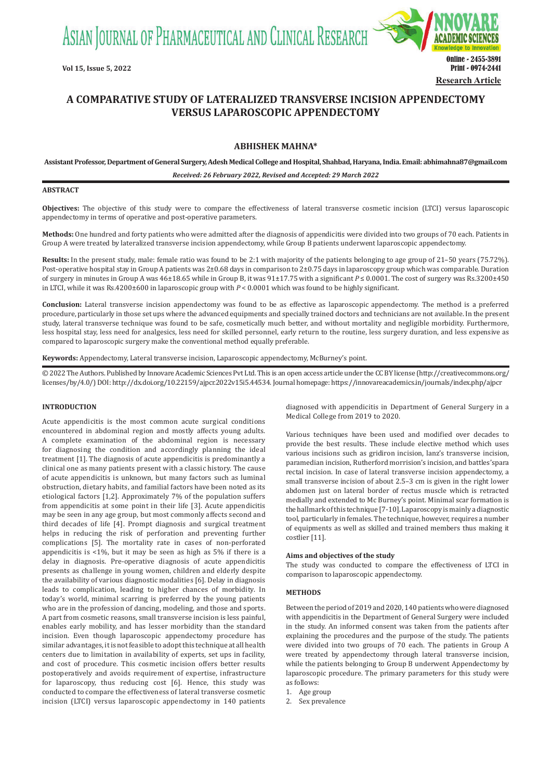ASIAN JOURNAL OF PHARMACEUTICAL AND CLINICAL RESEARCH



# **A COMPARATIVE STUDY OF LATERALIZED TRANSVERSE INCISION APPENDECTOMY VERSUS LAPAROSCOPIC APPENDECTOMY**

## **ABHISHEK MAHNA\***

**Assistant Professor, Department of General Surgery, Adesh Medical College and Hospital, Shahbad, Haryana, India. Email: abhimahna87@gmail.com**

*Received: 26 February 2022, Revised and Accepted: 29 March 2022*

#### **ABSTRACT**

**Objectives:** The objective of this study were to compare the effectiveness of lateral transverse cosmetic incision (LTCI) versus laparoscopic appendectomy in terms of operative and post-operative parameters.

**Methods:** One hundred and forty patients who were admitted after the diagnosis of appendicitis were divided into two groups of 70 each. Patients in Group A were treated by lateralized transverse incision appendectomy, while Group B patients underwent laparoscopic appendectomy.

**Results:** In the present study, male: female ratio was found to be 2:1 with majority of the patients belonging to age group of 21–50 years (75.72%). Post-operative hospital stay in Group A patients was 2±0.68 days in comparison to 2±0.75 days in laparoscopy group which was comparable. Duration of surgery in minutes in Group A was 46±18.65 while in Group B, it was 91±17.75 with a significant *P* ≤ 0.0001. The cost of surgery was Rs.3200±450 in LTCI, while it was Rs.4200±600 in laparoscopic group with *P* < 0.0001 which was found to be highly significant.

**Conclusion:** Lateral transverse incision appendectomy was found to be as effective as laparoscopic appendectomy. The method is a preferred procedure, particularly in those set ups where the advanced equipments and specially trained doctors and technicians are not available. In the present study, lateral transverse technique was found to be safe, cosmetically much better, and without mortality and negligible morbidity. Furthermore, less hospital stay, less need for analgesics, less need for skilled personnel, early return to the routine, less surgery duration, and less expensive as compared to laparoscopic surgery make the conventional method equally preferable.

**Keywords:** Appendectomy, Lateral transverse incision, Laparoscopic appendectomy, McBurney's point.

© 2022 The Authors. Published by Innovare Academic Sciences Pvt Ltd. This is an open access article under the CC BY license (http://creativecommons.org/ licenses/by/4.0/) DOI: http://dx.doi.org/10.22159/ajpcr.2022v15i5.44534. Journal homepage: https://innovareacademics.in/journals/index.php/ajpcr

## **INTRODUCTION**

Acute appendicitis is the most common acute surgical conditions encountered in abdominal region and mostly affects young adults. A complete examination of the abdominal region is necessary for diagnosing the condition and accordingly planning the ideal treatment [1]. The diagnosis of acute appendicitis is predominantly a clinical one as many patients present with a classic history. The cause of acute appendicitis is unknown, but many factors such as luminal obstruction, dietary habits, and familial factors have been noted as its etiological factors [1,2]. Approximately 7% of the population suffers from appendicitis at some point in their life [3]. Acute appendicitis may be seen in any age group, but most commonly affects second and third decades of life [4]. Prompt diagnosis and surgical treatment helps in reducing the risk of perforation and preventing further complications [5]. The mortality rate in cases of non-perforated appendicitis is <1%, but it may be seen as high as 5% if there is a delay in diagnosis. Pre-operative diagnosis of acute appendicitis presents as challenge in young women, children and elderly despite the availability of various diagnostic modalities [6]. Delay in diagnosis leads to complication, leading to higher chances of morbidity. In today's world, minimal scarring is preferred by the young patients who are in the profession of dancing, modeling, and those and sports. A part from cosmetic reasons, small transverse incision is less painful, enables early mobility, and has lesser morbidity than the standard incision. Even though laparoscopic appendectomy procedure has similar advantages, it is not feasible to adopt this technique at all health centers due to limitation in availability of experts, set ups in facility, and cost of procedure. This cosmetic incision offers better results postoperatively and avoids requirement of expertise, infrastructure for laparoscopy, thus reducing cost [6]. Hence, this study was conducted to compare the effectiveness of lateral transverse cosmetic incision (LTCI) versus laparoscopic appendectomy in 140 patients diagnosed with appendicitis in Department of General Surgery in a Medical College from 2019 to 2020.

Various techniques have been used and modified over decades to provide the best results. These include elective method which uses various incisions such as gridiron incision, lanz's transverse incision, paramedian incision, Rutherford morrision's incision, and battles'spara rectal incision. In case of lateral transverse incision appendectomy, a small transverse incision of about 2.5–3 cm is given in the right lower abdomen just on lateral border of rectus muscle which is retracted medially and extended to Mc Burney's point. Minimal scar formation is the hallmark of this technique [7-10]. Laparoscopy is mainly a diagnostic tool, particularly in females. The technique, however, requires a number of equipments as well as skilled and trained members thus making it costlier [11].

#### **Aims and objectives of the study**

The study was conducted to compare the effectiveness of LTCI in comparison to laparoscopic appendectomy.

## **METHODS**

Between the period of 2019 and 2020, 140 patients who were diagnosed with appendicitis in the Department of General Surgery were included in the study. An informed consent was taken from the patients after explaining the procedures and the purpose of the study. The patients were divided into two groups of 70 each. The patients in Group A were treated by appendectomy through lateral transverse incision, while the patients belonging to Group B underwent Appendectomy by laparoscopic procedure. The primary parameters for this study were as follows:<br>1. Age gro

- 1. Age group<br>2. Sex preval
- Sex prevalence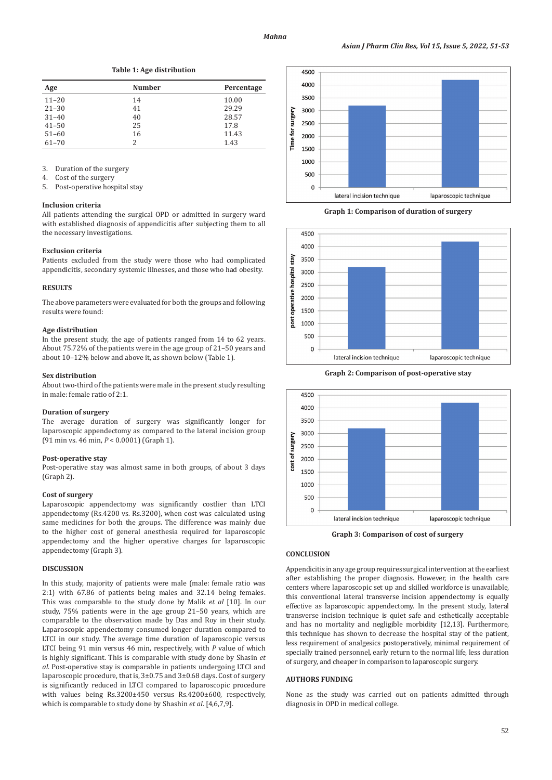**Table 1: Age distribution**

| Age       | <b>Number</b> | Percentage |
|-----------|---------------|------------|
| $11 - 20$ | 14            | 10.00      |
| $21 - 30$ | 41            | 29.29      |
| $31 - 40$ | 40            | 28.57      |
| $41 - 50$ | 25            | 17.8       |
| $51 - 60$ | 16            | 11.43      |
| $61 - 70$ | 2             | 1.43       |

3. Duration of the surgery

4. Cost of the surgery<br>5. Post-operative host

Post-operative hospital stay

#### **Inclusion criteria**

All patients attending the surgical OPD or admitted in surgery ward with established diagnosis of appendicitis after subjecting them to all the necessary investigations.

#### **Exclusion criteria**

Patients excluded from the study were those who had complicated appendicitis, secondary systemic illnesses, and those who had obesity.

## **RESULTS**

The above parameters were evaluated for both the groups and following results were found:

### **Age distribution**

In the present study, the age of patients ranged from 14 to 62 years. About 75.72% of the patients were in the age group of 21–50 years and about 10–12% below and above it, as shown below (Table 1).

#### **Sex distribution**

About two-third of the patients were male in the present study resulting in male: female ratio of 2:1.

#### **Duration of surgery**

The average duration of surgery was significantly longer for laparoscopic appendectomy as compared to the lateral incision group (91 min vs. 46 min, *P* < 0.0001) (Graph 1).

#### **Post-operative stay**

Post-operative stay was almost same in both groups, of about 3 days (Graph 2).

#### **Cost of surgery**

Laparoscopic appendectomy was significantly costlier than LTCI appendectomy (Rs.4200 vs. Rs.3200), when cost was calculated using same medicines for both the groups. The difference was mainly due to the higher cost of general anesthesia required for laparoscopic appendectomy and the higher operative charges for laparoscopic appendectomy (Graph 3).

## **DISCUSSION**

In this study, majority of patients were male (male: female ratio was 2:1) with 67.86 of patients being males and 32.14 being females. This was comparable to the study done by Malik *et al* [10]. In our study, 75% patients were in the age group 21–50 years, which are comparable to the observation made by Das and Roy in their study. Laparoscopic appendectomy consumed longer duration compared to LTCI in our study. The average time duration of laparoscopic versus LTCI being 91 min versus 46 min, respectively, with *P* value of which is highly significant. This is comparable with study done by Shasin *et al*. Post-operative stay is comparable in patients undergoing LTCI and laparoscopic procedure, that is, 3±0.75 and 3±0.68 days. Cost of surgery is significantly reduced in LTCI compared to laparoscopic procedure with values being Rs.3200±450 versus Rs.4200±600, respectively, which is comparable to study done by Shashin *et al*. [4,6,7,9].



**Graph 1: Comparison of duration of surgery**



**Graph 2: Comparison of post-operative stay**



**Graph 3: Comparison of cost of surgery**

### **CONCLUSION**

Appendicitis in any age group requires surgical intervention at the earliest after establishing the proper diagnosis. However, in the health care centers where laparoscopic set up and skilled workforce is unavailable, this conventional lateral transverse incision appendectomy is equally effective as laparoscopic appendectomy. In the present study, lateral transverse incision technique is quiet safe and esthetically acceptable and has no mortality and negligible morbidity [12,13]. Furthermore, this technique has shown to decrease the hospital stay of the patient, less requirement of analgesics postoperatively, minimal requirement of specially trained personnel, early return to the normal life, less duration of surgery, and cheaper in comparison to laparoscopic surgery.

### **AUTHORS FUNDING**

None as the study was carried out on patients admitted through diagnosis in OPD in medical college.